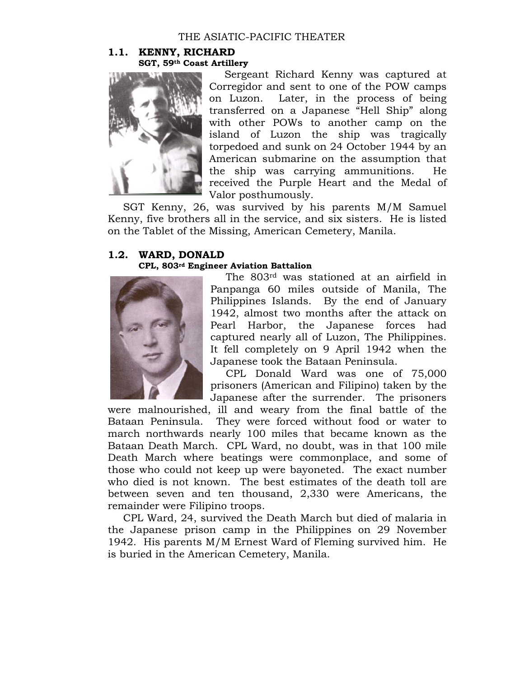## THE ASIATIC-PACIFIC THEATER

### **1.1. KENNY, RICHARD SGT, 59th Coast Artillery**



Sergeant Richard Kenny was captured at Corregidor and sent to one of the POW camps on Luzon. Later, in the process of being transferred on a Japanese "Hell Ship" along with other POWs to another camp on the island of Luzon the ship was tragically torpedoed and sunk on 24 October 1944 by an American submarine on the assumption that the ship was carrying ammunitions. He received the Purple Heart and the Medal of Valor posthumously.

SGT Kenny, 26, was survived by his parents M/M Samuel Kenny, five brothers all in the service, and six sisters. He is listed on the Tablet of the Missing, American Cemetery, Manila.

# **1.2. WARD, DONALD**

### **CPL, 803rd Engineer Aviation Battalion**



The 803rd was stationed at an airfield in Panpanga 60 miles outside of Manila, The Philippines Islands. By the end of January 1942, almost two months after the attack on Pearl Harbor, the Japanese forces had captured nearly all of Luzon, The Philippines. It fell completely on 9 April 1942 when the Japanese took the Bataan Peninsula.

CPL Donald Ward was one of 75,000 prisoners (American and Filipino) taken by the Japanese after the surrender. The prisoners

were malnourished, ill and weary from the final battle of the Bataan Peninsula. They were forced without food or water to march northwards nearly 100 miles that became known as the Bataan Death March. CPL Ward, no doubt, was in that 100 mile Death March where beatings were commonplace, and some of those who could not keep up were bayoneted. The exact number who died is not known. The best estimates of the death toll are between seven and ten thousand, 2,330 were Americans, the remainder were Filipino troops.

CPL Ward, 24, survived the Death March but died of malaria in the Japanese prison camp in the Philippines on 29 November 1942. His parents M/M Ernest Ward of Fleming survived him. He is buried in the American Cemetery, Manila.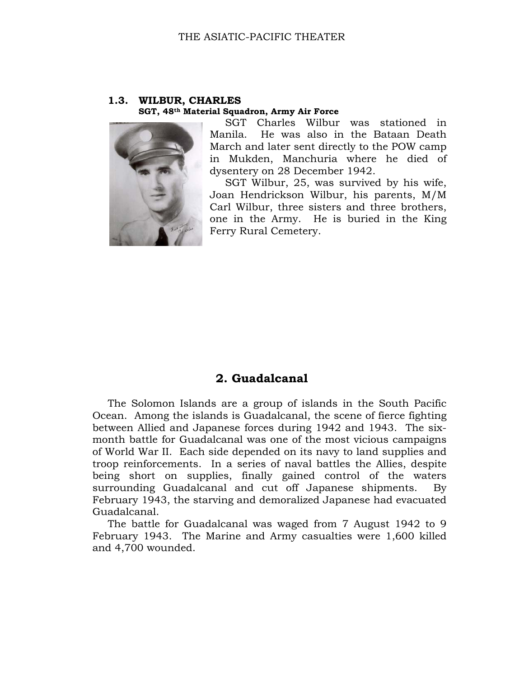### **1.3. WILBUR, CHARLES SGT, 48th Material Squadron, Army Air Force**



SGT Charles Wilbur was stationed in Manila. He was also in the Bataan Death March and later sent directly to the POW camp in Mukden, Manchuria where he died of dysentery on 28 December 1942.

SGT Wilbur, 25, was survived by his wife, Joan Hendrickson Wilbur, his parents, M/M Carl Wilbur, three sisters and three brothers, one in the Army. He is buried in the King Ferry Rural Cemetery.

# **2. Guadalcanal**

The Solomon Islands are a group of islands in the South Pacific Ocean. Among the islands is Guadalcanal, the scene of fierce fighting between Allied and Japanese forces during 1942 and 1943. The sixmonth battle for Guadalcanal was one of the most vicious campaigns of World War II. Each side depended on its navy to land supplies and troop reinforcements. In a series of naval battles the Allies, despite being short on supplies, finally gained control of the waters surrounding Guadalcanal and cut off Japanese shipments. By February 1943, the starving and demoralized Japanese had evacuated Guadalcanal.

The battle for Guadalcanal was waged from 7 August 1942 to 9 February 1943. The Marine and Army casualties were 1,600 killed and 4,700 wounded.